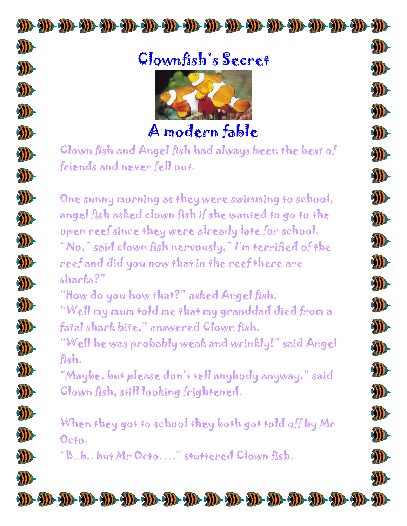## Clownfish's Secret

**AD-**

**AD** 

**AD** 

D

D

**AD** 

D

D

D

D

**AD** 

SD-

D

11

**AD** 

SD-

D

D

D

D

**AD** 

**AD** 

**AD** 

ND-

D

D

W

D

D

D

D

D

**AD-**

D

W)

ND-

**AD** 

D

D

D

D

D



A modern fable

Clown fish and Angel fish had always been the best of friends and never fell out.

One sunny morning as they were swimming to school, angel fish asked clown fish if she wanted to go to the open reef since they were already late for school. "No," said clown fish nervously," I'm terrified of the reef and did you now that in the reef there are sharks?"

"How do you how that?" asked Angel fish.

"Well my mum told me that my granddad died from a fatal shark bite," answered Clown fish.

"Well he was probably weak and wrinkly!" said Angel fish.

"Maybe, but please don't tell anybody anyway," said Clown fish, still looking frightened.

When they got to school they both got told off by Mr  $\mathcal{O}$ cto.

"B..b.. but Mr Octo…." stuttered Clown fish.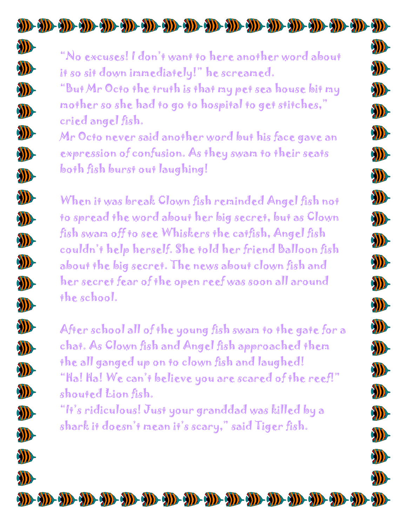"No excuses! I don't want to here another word about it so sit down immediately!" he screamed.

"But Mr Octo the truth is that my pet sea house bit my mother so she had to go to hospital to get stitches," cried angel fish.

Mr Octo never said another word but his face gave an expression of confusion. As they swam to their seats both fish burst out laughing!

When it was break Clown fish reminded Angel fish not to spread the word about her big secret, but as Clown fish swam off to see Whiskers the catfish, Angel fish couldn't help herself. She told her friend Balloon fish about the big secret. The news about clown fish and her secret fear of the open reef was soon all around the school.

After school all of the young fish swam to the gate for a chat. As Clown fish and Angel fish approached them the all ganged up on to clown fish and laughed! "Ha! Ha! We can't believe you are scared of the reef!" shouted Lion fish.

"It's ridiculous! Just your granddad was killed by a shark it doesn't mean it's scary," said Tiger fish.